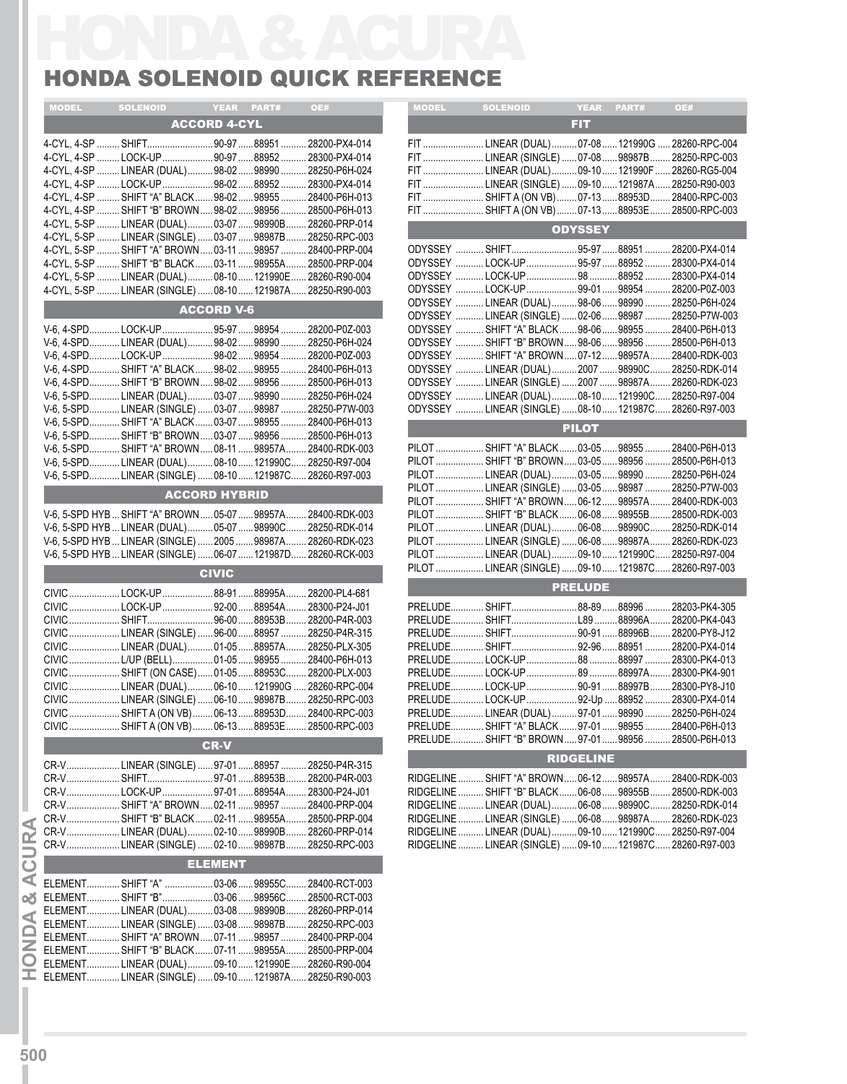## HONDA SOLENOID QUICK REFERENCE

| <b>MODEL</b> | <b>SOLENOID</b>                                                                                            |                      | YEAR PART# | OE#             | <b>MODEL</b> | <b>SOLENOID</b>                                                                         | <b>YEAR</b>      | PART# | OE#   |
|--------------|------------------------------------------------------------------------------------------------------------|----------------------|------------|-----------------|--------------|-----------------------------------------------------------------------------------------|------------------|-------|-------|
|              |                                                                                                            | <b>ACCORD 4-CYL</b>  |            |                 |              |                                                                                         | <b>FIT</b>       |       |       |
|              | 4-CYL, 4-SP  SHIFT90-97 88951  28200-PX4-014                                                               |                      |            |                 |              | FIT  LINEAR (DUAL)  07-08  121990G  2826                                                |                  |       |       |
|              | 4-CYL, 4-SP LOCK-UP 90-97 88952  28300-PX4-014                                                             |                      |            |                 |              | FIT  LINEAR (SINGLE)  07-08  98987B  2825                                               |                  |       |       |
|              | 4-CYL, 4-SP  LINEAR (DUAL)  98-02  98990  28250-P6H-024                                                    |                      |            |                 |              | FIT  LINEAR (DUAL)  09-10  121990F  2826                                                |                  |       |       |
|              | 4-CYL, 4-SP LOCK-UP 98-02 88952  28300-PX4-014                                                             |                      |            |                 |              | FIT  LINEAR (SINGLE)  09-10  121987A 2825                                               |                  |       |       |
|              | 4-CYL, 4-SP  SHIFT "A" BLACK  98-02  98955  28400-P6H-013                                                  |                      |            |                 |              | FIT  SHIFT A (ON VB)  07-13 88953D 2840                                                 |                  |       |       |
|              | 4-CYL, 4-SP  SHIFT "B" BROWN  98-02  98956<br>4-CYL, 5-SP  LINEAR (DUAL) 03-07  98990B  28260-PRP-014      |                      |            | .28500-P6H-013  |              | FIT  SHIFT A (ON VB)  07-13 88953E  2850                                                |                  |       |       |
|              | 4-CYL, 5-SP  LINEAR (SINGLE)  03-07  98987B  28250-RPC-003                                                 |                      |            |                 |              |                                                                                         | <b>ODYSSEY</b>   |       |       |
|              | 4-CYL, 5-SP  SHIFT "A" BROWN  03-11  98957                                                                 |                      |            | 28400-PRP-004   |              | ODYSSEY  SHIFT95-9788951 2820                                                           |                  |       |       |
|              | 4-CYL, 5-SP  SHIFT "B" BLACK  03-11  98955A  28500-PRP-004                                                 |                      |            |                 |              | ODYSSEY LOCK-UP95-9788952                                                               |                  |       | 2830  |
|              | 4-CYL, 5-SP  LINEAR (DUAL) 08-10  121990E 28260-R90-004                                                    |                      |            |                 |              | ODYSSEY LOCK-UP 98 88952  2830                                                          |                  |       |       |
|              | 4-CYL, 5-SP  LINEAR (SINGLE)  08-10  121987A  28250-R90-003                                                |                      |            |                 |              | ODYSSEY LOCK-UP 99-01 98954<br>ODYSSEY  LINEAR (DUAL) 98-06  98990  2825                |                  |       | 2820  |
|              |                                                                                                            | <b>ACCORD V-6</b>    |            |                 |              | ODYSSEY LINEAR (SINGLE)  02-06  98987  2825                                             |                  |       |       |
|              | V-6, 4-SPDLOCK-UP95-9798954 28200-P0Z-003                                                                  |                      |            |                 |              | ODYSSEY  SHIFT "A" BLACK  98-06  98955                                                  |                  |       | 2840  |
|              | V-6, 4-SPD LINEAR (DUAL)98-0298990  28250-P6H-024                                                          |                      |            |                 |              | ODYSSEY  SHIFT "B" BROWN  98-06  98956  2850                                            |                  |       |       |
|              | V-6, 4-SPDLOCK-UP98-0298954                                                                                |                      |            | .28200-P0Z-003  |              | ODYSSEY  SHIFT "A" BROWN  07-12  98957A                                                 |                  |       | 2840  |
|              | V-6, 4-SPD SHIFT "A" BLACK98-0298955 28400-P6H-013                                                         |                      |            |                 |              | ODYSSEY  LINEAR (DUAL) 2007  98990C 2825                                                |                  |       |       |
|              | V-6, 4-SPD SHIFT "B" BROWN98-0298956 28500-P6H-013<br>V-6, 5-SPD LINEAR (DUAL) 03-07 98990  28250-P6H-024  |                      |            |                 |              | ODYSSEY LINEAR (SINGLE)  2007  98987A 2826<br>ODYSSEY  LINEAR (DUAL) 08-10 121990C 2825 |                  |       |       |
|              | V-6, 5-SPD LINEAR (SINGLE)  03-07  98987  28250-P7W-003                                                    |                      |            |                 |              | ODYSSEY  LINEAR (SINGLE)  08-10  121987C 2826                                           |                  |       |       |
|              | V-6, 5-SPD SHIFT "A" BLACK 03-07  98955                                                                    |                      |            | 28400-P6H-013   |              |                                                                                         |                  |       |       |
|              | V-6, 5-SPD SHIFT "B" BROWN03-0798956 28500-P6H-013                                                         |                      |            |                 |              |                                                                                         | <b>PILOT</b>     |       |       |
|              | V-6, 5-SPD SHIFT "A" BROWN 08-11  98957A 28400-RDK-003                                                     |                      |            |                 |              | PILOT  SHIFT "A" BLACK  03-05 98955                                                     |                  |       | 2840  |
|              | V-6, 5-SPDLINEAR (DUAL) 08-10 121990C 28250-R97-004                                                        |                      |            |                 |              | PILOT  SHIFT "B" BROWN  03-05  98956  2850                                              |                  |       |       |
|              | V-6, 5-SPD LINEAR (SINGLE)  08-10  121987C 28260-R97-003                                                   |                      |            |                 |              | PILOT  LINEAR (DUAL)  03-05  98990  2825<br>PILOT  LINEAR (SINGLE)  03-05  98987        |                  |       | 2825  |
|              |                                                                                                            | <b>ACCORD HYBRID</b> |            |                 |              | PILOT  SHIFT "A" BROWN  06-12  98957A                                                   |                  |       | 2840  |
|              | V-6, 5-SPD HYB  SHIFT "A" BROWN  05-07  98957A  28400-RDK-003                                              |                      |            |                 |              | PILOT  SHIFT "B" BLACK  06-08  98955B  2850                                             |                  |       |       |
|              | V-6, 5-SPD HYB  LINEAR (DUAL) 05-07 98990C 28250-RDK-014                                                   |                      |            |                 |              | PILOT  LINEAR (DUAL)  06-08  98990C 2825                                                |                  |       |       |
|              | V-6, 5-SPD HYB  LINEAR (SINGLE)  2005  98987A  28260-RDK-023                                               |                      |            |                 |              | PILOT  LINEAR (SINGLE)  06-08  98987A  2826                                             |                  |       |       |
|              | V-6, 5-SPD HYB  LINEAR (SINGLE)  06-07  121987D  28260-RCK-003                                             |                      |            |                 |              | PILOT  LINEAR (DUAL)  09-10  121990C 2825                                               |                  |       |       |
|              |                                                                                                            | <b>CIVIC</b>         |            |                 |              | PILOT  LINEAR (SINGLE)  09-10  121987C 2826                                             |                  |       |       |
|              | CIVIC  LOCK-UP  88-91  88995A  28200-PL4-681                                                               |                      |            |                 |              |                                                                                         | <b>PRELUDE</b>   |       |       |
|              | CIVIC  LOCK-UP  92-00 88954A 28300-P24-J01                                                                 |                      |            |                 |              |                                                                                         |                  |       |       |
|              | CIVIC  SHIFT96-00 88953B                                                                                   |                      |            | 28200-P4R-003   |              | PRELUDE SHIFTL8988996A                                                                  |                  |       | 2820  |
| <b>CIVIC</b> | LINEAR (SINGLE)  96-00  88957  28250-P4R-315                                                               |                      |            |                 |              | PRELUDE SHIFT 90-9188996B 2820                                                          |                  |       |       |
|              | CIVIC  LINEAR (DUAL)  01-05 88957A  28250-PLX-305                                                          |                      |            |                 |              | PRELUDE SHIFT 92-9688951 2820                                                           |                  |       |       |
|              | CIVIC  L/UP (BELL)  01-05 98955<br>CIVIC  SHIFT (ON CASE)  01-05  88953C  28200-PLX-003                    |                      |            | 28400-P6H-013   |              | PRELUDELOCK-UP8988997A2830                                                              |                  |       |       |
|              | CIVIC  LINEAR (DUAL)  06-10  121990G                                                                       |                      |            | . 28260-RPC-004 |              | PRELUDELOCK-UP90-9188997B2830                                                           |                  |       |       |
|              | CIVIC  LINEAR (SINGLE)  06-10  98987B                                                                      |                      |            | . 28250-RPC-003 |              | PRELUDELOCK-UP92-Up 88952  2830                                                         |                  |       |       |
|              | CIVIC SHIFT A (ON VB) 06-1388953D                                                                          |                      |            | 28400-RPC-003   |              | PRELUDE LINEAR (DUAL) 97-01 98990                                                       |                  |       | 2825  |
|              | CIVIC SHIFT A (ON VB) 06-1388953E                                                                          |                      |            | 28500-RPC-003   |              | PRELUDE SHIFT "A" BLACK 97-01 98955                                                     |                  |       | .2840 |
|              |                                                                                                            | <b>CR-V</b>          |            |                 |              | PRELUDE SHIFT "B" BROWN 97-01 98956 2850                                                |                  |       |       |
|              | CR-VLINEAR (SINGLE)  97-01 88957                                                                           |                      |            | 28250-P4R-315   |              |                                                                                         | <b>RIDGELINE</b> |       |       |
|              | CR-V SHIFT97-0188953B                                                                                      |                      |            | 28200-P4R-003   |              | RIDGELINE  SHIFT "A" BROWN  06-12  98957A  2840                                         |                  |       |       |
|              | CR-VLOCK-UP97-0188954A                                                                                     |                      |            | 28300-P24-J01   |              | RIDGELINE  SHIFT "B" BLACK  06-08  98955B                                               |                  |       | 2850  |
|              | CR-VSHIFT "A" BROWN02-11 98957  28400-PRP-004                                                              |                      |            |                 |              | RIDGELINE  LINEAR (DUAL)  06-08  98990C 2825                                            |                  |       |       |
|              | CR-V SHIFT "B" BLACK 02-11 98955A 28500-PRP-004                                                            |                      |            |                 |              | RIDGELINE  LINEAR (SINGLE)  06-08  98987A 2826                                          |                  |       |       |
|              | CR-V LINEAR (DUAL) 02-1098990B                                                                             |                      |            | . 28260-PRP-014 |              | RIDGELINE  LINEAR (DUAL)  09-10  121990C 2825                                           |                  |       |       |
|              | CR-VLINEAR (SINGLE)  02-10  98987B  28250-RPC-003                                                          |                      |            |                 |              | RIDGELINE  LINEAR (SINGLE)  09-10  121987C 2826                                         |                  |       |       |
|              | ELEMENT SHIFT "A"  03-0698955C                                                                             | <b>ELEMENT</b>       |            | 28400-RCT-003   |              |                                                                                         |                  |       |       |
|              | ELEMENT SHIFT "B" 03-0698956C 28500-RCT-003                                                                |                      |            |                 |              |                                                                                         |                  |       |       |
|              | ELEMENTLINEAR (DUAL) 03-08 98990B                                                                          |                      |            | 28260-PRP-014   |              |                                                                                         |                  |       |       |
|              | ELEMENT LINEAR (SINGLE)  03-08  98987B                                                                     |                      |            | 28250-RPC-003   |              |                                                                                         |                  |       |       |
|              | ELEMENT SHIFT "A" BROWN 07-11  98957                                                                       |                      |            | 28400-PRP-004   |              |                                                                                         |                  |       |       |
|              | ELEMENT SHIFT "B" BLACK 07-11  98955A                                                                      |                      |            | 28500-PRP-004   |              |                                                                                         |                  |       |       |
|              |                                                                                                            |                      |            |                 |              |                                                                                         |                  |       |       |
|              | ELEMENT LINEAR (DUAL) 09-10 121990E 28260-R90-004<br>ELEMENT LINEAR (SINGLE)  09-10  121987A 28250-R90-003 |                      |            |                 |              |                                                                                         |                  |       |       |

| <b>MODEL</b>                                                        | <b>SOLENOID</b>                                                                       |                | <b>The Street PART#</b> | OE# |  |  |  |
|---------------------------------------------------------------------|---------------------------------------------------------------------------------------|----------------|-------------------------|-----|--|--|--|
|                                                                     |                                                                                       | FIT.           |                         |     |  |  |  |
|                                                                     | FIT  LINEAR (DUAL) 07-08  121990G  28260-RPC-004                                      |                |                         |     |  |  |  |
|                                                                     | FIT  LINEAR (SINGLE)  07-08  98987B  28250-RPC-003                                    |                |                         |     |  |  |  |
|                                                                     | FIT  LINEAR (DUAL)09-10  121990F  28260-RG5-004                                       |                |                         |     |  |  |  |
|                                                                     | FIT  LINEAR (SINGLE)  09-10  121987A 28250-R90-003                                    |                |                         |     |  |  |  |
|                                                                     | FIT  SHIFT A (ON VB)  07-13 88953D 28400-RPC-003                                      |                |                         |     |  |  |  |
|                                                                     |                                                                                       |                |                         |     |  |  |  |
| FIT  SHIFT A (ON VB)  07-13 88953E  28500-RPC-003<br><b>ODYSSEY</b> |                                                                                       |                |                         |     |  |  |  |
|                                                                     |                                                                                       |                |                         |     |  |  |  |
|                                                                     | ODYSSEY  SHIFT95-97 88951  28200-PX4-014                                              |                |                         |     |  |  |  |
|                                                                     | ODYSSEY LOCK-UP 95-97 88952  28300-PX4-014<br>ODYSSEY LOCK-UP 98 88952  28300-PX4-014 |                |                         |     |  |  |  |
|                                                                     | ODYSSEY LOCK-UP 99-01 98954  28200-P0Z-003                                            |                |                         |     |  |  |  |
|                                                                     | ODYSSEY  LINEAR (DUAL)98-0698990  28250-P6H-024                                       |                |                         |     |  |  |  |
|                                                                     | ODYSSEY  LINEAR (SINGLE)  02-06  98987  28250-P7W-003                                 |                |                         |     |  |  |  |
|                                                                     | ODYSSEY  SHIFT "A" BLACK  98-06  98955  28400-P6H-013                                 |                |                         |     |  |  |  |
|                                                                     | ODYSSEY  SHIFT "B" BROWN  98-06  98956  28500-P6H-013                                 |                |                         |     |  |  |  |
|                                                                     | ODYSSEY  SHIFT "A" BROWN  07-12  98957A  28400-RDK-003                                |                |                         |     |  |  |  |
|                                                                     | ODYSSEY  LINEAR (DUAL) 2007  98990C 28250-RDK-014                                     |                |                         |     |  |  |  |
|                                                                     | ODYSSEY   LINEAR (SINGLE)  2007 98987A 28260-RDK-023                                  |                |                         |     |  |  |  |
|                                                                     | ODYSSEY  LINEAR (DUAL) 08-10  121990C 28250-R97-004                                   |                |                         |     |  |  |  |
|                                                                     | ODYSSEY  LINEAR (SINGLE)  08-10  121987C 28260-R97-003                                |                |                         |     |  |  |  |
|                                                                     |                                                                                       | <b>PILOT</b>   |                         |     |  |  |  |
|                                                                     | PILOT  SHIFT "A" BLACK  03-05 98955  28400-P6H-013                                    |                |                         |     |  |  |  |
|                                                                     | PILOT  SHIFT "B" BROWN  03-05  98956  28500-P6H-013                                   |                |                         |     |  |  |  |
|                                                                     | PILOT  LINEAR (DUAL)  03-05 98990  28250-P6H-024                                      |                |                         |     |  |  |  |
|                                                                     | PILOT  LINEAR (SINGLE)  03-05 98987  28250-P7W-003                                    |                |                         |     |  |  |  |
|                                                                     | PILOT  SHIFT "A" BROWN  06-12  98957A  28400-RDK-003                                  |                |                         |     |  |  |  |
|                                                                     | PILOT  SHIFT "B" BLACK  06-08  98955B  28500-RDK-003                                  |                |                         |     |  |  |  |
|                                                                     | PILOT  LINEAR (DUAL)  06-08  98990C  28250-RDK-014                                    |                |                         |     |  |  |  |
|                                                                     | PILOT  LINEAR (SINGLE)  06-08  98987A  28260-RDK-023                                  |                |                         |     |  |  |  |
|                                                                     | PILOT  LINEAR (DUAL)  09-10  121990C 28250-R97-004                                    |                |                         |     |  |  |  |
|                                                                     | PILOT  LINEAR (SINGLE)  09-10  121987C  28260-R97-003                                 |                |                         |     |  |  |  |
|                                                                     |                                                                                       | <b>PRELUDE</b> |                         |     |  |  |  |
|                                                                     | PRELUDE SHIFT 88-89 88996  28203-PK4-305                                              |                |                         |     |  |  |  |
|                                                                     | PRELUDE SHIFTL8988996A 28200-PK4-043                                                  |                |                         |     |  |  |  |
|                                                                     | PRELUDE SHIFT 90-9188996B 28200-PY8-J12                                               |                |                         |     |  |  |  |
|                                                                     | PRELUDE SHIFT 92-9688951  28200-PX4-014                                               |                |                         |     |  |  |  |
|                                                                     |                                                                                       |                |                         |     |  |  |  |
|                                                                     | PRELUDELOCK-UP8988997A 28300-PK4-901                                                  |                |                         |     |  |  |  |
|                                                                     | PRELUDELOCK-UP90-9188997B 28300-PY8-J10                                               |                |                         |     |  |  |  |
|                                                                     | PRELUDELOCK-UP92-Up 88952  28300-PX4-014                                              |                |                         |     |  |  |  |
|                                                                     | PRELUDE LINEAR (DUAL) 97-01 98990  28250-P6H-024                                      |                |                         |     |  |  |  |
|                                                                     | PRELUDE SHIFT "A" BLACK 97-01 98955  28400-P6H-013                                    |                |                         |     |  |  |  |
|                                                                     | PRELUDE SHIFT "B" BROWN  97-01  98956  28500-P6H-013                                  |                |                         |     |  |  |  |
| <b>RIDGELINE</b>                                                    |                                                                                       |                |                         |     |  |  |  |
|                                                                     | RIDGELINE  SHIFT "A" BROWN  06-12  98957A  28400-RDK-003                              |                |                         |     |  |  |  |
|                                                                     | RIDGELINE  SHIFT "B" BLACK  06-08  98955B  28500-RDK-003                              |                |                         |     |  |  |  |
|                                                                     | RIDGELINE  LINEAR (DUAL)  06-08  98990C 28250-RDK-014                                 |                |                         |     |  |  |  |
|                                                                     | RIDGELINE  LINEAR (SINGLE)  06-08  98987A 28260-RDK-023                               |                |                         |     |  |  |  |
|                                                                     | RIDGELINE  LINEAR (DUAL)  09-10  121990C 28250-R97-004                                |                |                         |     |  |  |  |
|                                                                     | RIDGELINE  LINEAR (SINGLE)  09-10  121987C 28260-R97-003                              |                |                         |     |  |  |  |
|                                                                     |                                                                                       |                |                         |     |  |  |  |
|                                                                     |                                                                                       |                |                         |     |  |  |  |

**IHON D A &**